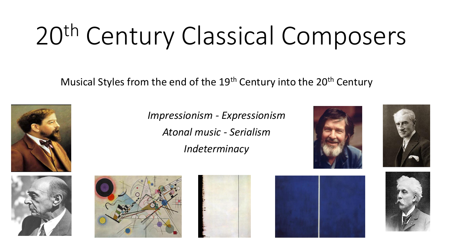# 20th Century Classical Composers

Musical Styles from the end of the 19<sup>th</sup> Century into the 20<sup>th</sup> Century

















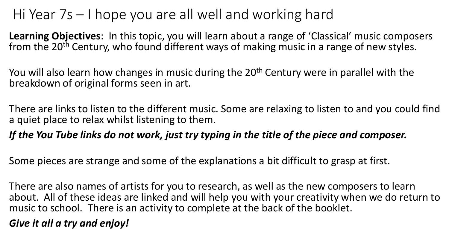## Hi Year 7s – I hope you are all well and working hard

**Learning Objectives**: In this topic, you will learn about a range of 'Classical' music composers from the 20<sup>th</sup> Century, who found different ways of making music in a range of new styles.

You will also learn how changes in music during the 20<sup>th</sup> Century were in parallel with the breakdown of original forms seen in art.

There are links to listen to the different music. Some are relaxing to listen to and you could find a quiet place to relax whilst listening to them.

#### *If the You Tube links do not work, just try typing in the title of the piece and composer.*

Some pieces are strange and some of the explanations a bit difficult to grasp at first.

There are also names of artists for you to research, as well as the new composers to learn about. All of these ideas are linked and will help you with your creativity when we do return to music to school. There is an activity to complete at the back of the booklet.

#### *Give it all a try and enjoy!*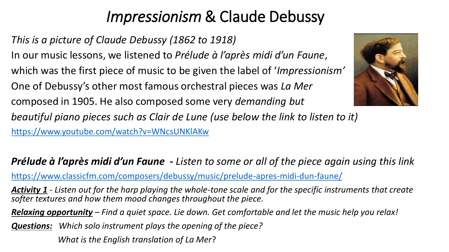# *Impressionism* & Claude Debussy

*This is a picture of Claude Debussy (1862 to 1918)* In our music lessons, we listened to *Prélude à l'après midi d'un Faune*,

which was the first piece of music to be given the label of '*Impressionism'* 

One of Debussy's other most famous orchestral pieces was *La Mer* 

composed in 1905. He also composed some very *demanding but* 

*beautiful piano pieces such as Clair de Lune (use below the link to listen to it)* [https://www.youtube.com/watch?v=WNcsUNKlAKw](about:blank)



### *Prélude à l'après midi d'un Faune* **-** *Listen to some or all of the piece again using this link*

[https://www.classicfm.com/composers/debussy/music/prelude-apres-midi-dun-faune/](about:blank)

*Activity 1 - Listen out for the harp playing the whole-tone scale and for the specific instruments that create softer textures and how them mood changes throughout the piece.* 

*Relaxing opportunity – Find a quiet space. Lie down. Get comfortable and let the music help you relax!*

*Questions: Which solo instrument plays the opening of the piece?* 

*What is the English translation of La Mer*?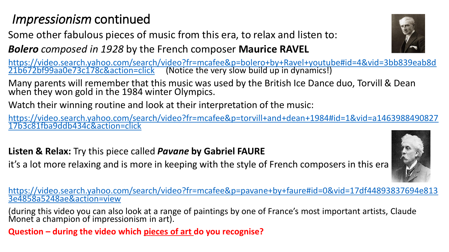## *Impressionism* continued

Some other fabulous pieces of music from this era, to relax and listen to:

*Bolero composed in 1928* by the French composer **Maurice RAVEL**

[https://video.search.yahoo.com/search/video?fr=mcafee&p=bolero+by+Ravel+youtube#id=4&vid=3bb839eab8d](https://video.search.yahoo.com/search/video?fr=mcafee&p=bolero+by+Ravel+youtube#id=4&vid=3bb839eab8d21b672bf99aa0e73c178c&action=click) 21b672bf99aa0e73c178c&action=click (Notice the very slow build up in dynamics!)

Many parents will remember that this music was used by the British Ice Dance duo, Torvill & Dean when they won gold in the 1984 winter Olympics.

Watch their winning routine and look at their interpretation of the music:

[https://video.search.yahoo.com/search/video?fr=mcafee&p=torvill+and+dean+1984#id=1&vid=a1463988490827](https://video.search.yahoo.com/search/video?fr=mcafee&p=torvill+and+dean+1984#id=1&vid=a146398849082717b3c81fba9ddb434c&action=click) 17b3c81fba9ddb434c&action=click

#### **Listen & Relax:** Try this piece called *Pavane* **by Gabriel FAURE**

it's a lot more relaxing and is more in keeping with the style of French composers in this era

[https://video.search.yahoo.com/search/video?fr=mcafee&p=pavane+by+faure#id=0&vid=17df44893837694e813](https://video.search.yahoo.com/search/video?fr=mcafee&p=pavane+by+faure#id=0&vid=17df44893837694e8133e4858a5248ae&action=view) 3e4858a5248ae&action=view

(during this video you can also look at a range of paintings by one of France's most important artists, Claude Monet a champion of impressionism in art).

**Question – during the video which pieces of art do you recognise?**



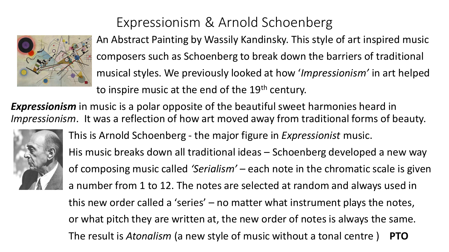

## Expressionism & Arnold Schoenberg

An Abstract Painting by Wassily Kandinsky. This style of art inspired music composers such as Schoenberg to break down the barriers of traditional musical styles. We previously looked at how '*Impressionism'* in art helped to inspire music at the end of the 19<sup>th</sup> century.

*Expressionism* in music is a polar opposite of the beautiful sweet harmonies heard in *Impressionism*. It was a reflection of how art moved away from traditional forms of beauty.



This is Arnold Schoenberg - the major figure in *Expressionist* music. His music breaks down all traditional ideas – Schoenberg developed a new way of composing music called *'Serialism'* – each note in the chromatic scale is given a number from 1 to 12. The notes are selected at random and always used in this new order called a 'series' – no matter what instrument plays the notes, or what pitch they are written at, the new order of notes is always the same. The result is *Atonalism* (a new style of music without a tonal centre ) **PTO**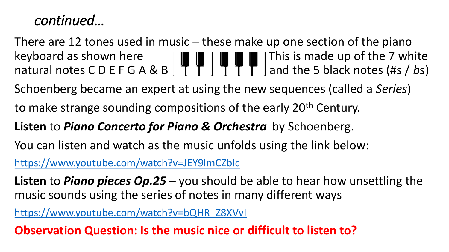## *continued…*

There are 12 tones used in music – these make up one section of the piano keyboard as shown here  $\|\cdot\|$   $\|\cdot\|$   $\|\cdot\|$   $\|\cdot\|$  This is made up of the 7 white natural notes C D E F G A & B  $\overline{1}$   $\overline{1}$   $\overline{1}$   $\overline{1}$   $\overline{1}$  and the 5 black notes (#s / bs)

Schoenberg became an expert at using the new sequences (called a *Series*)

to make strange sounding compositions of the early 20<sup>th</sup> Century.

#### **Listen** to *Piano Concerto for Piano & Orchestra* by Schoenberg.

You can listen and watch as the music unfolds using the link below:

[https://www.youtube.com/watch?v=JEY9lmCZbIc](about:blank)

**Listen** to *Piano pieces Op.25* – you should be able to hear how unsettling the music sounds using the series of notes in many different ways

[https://www.youtube.com/watch?v=bQHR\\_Z8XVvI](about:blank)

**Observation Question: Is the music nice or difficult to listen to?**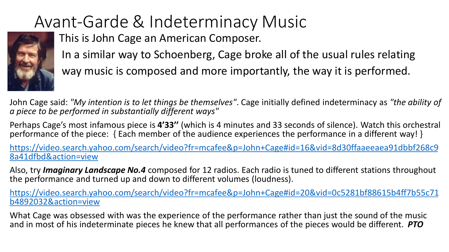# Avant-Garde & Indeterminacy Music



This is John Cage an American Composer. In a similar way to Schoenberg, Cage broke all of the usual rules relating way music is composed and more importantly, the way it is performed.

John Cage said: *"My intention is to let things be themselves"*. Cage initially defined indeterminacy as *"the ability of a piece to be performed in substantially different ways"*

Perhaps Cage's most infamous piece is **4'33''** (which is 4 minutes and 33 seconds of silence). Watch this orchestral performance of the piece: { Each member of the audience experiences the performance in a different way! }

[https://video.search.yahoo.com/search/video?fr=mcafee&p=John+Cage#id=16&vid=8d30ffaaeeaea91dbbf268c9](https://video.search.yahoo.com/search/video?fr=mcafee&p=John+Cage#id=16&vid=8d30ffaaeeaea91dbbf268c98a41dfbd&action=view) 8a41dfbd&action=view

Also, try *Imaginary Landscape No.4* composed for 12 radios. Each radio is tuned to different stations throughout the performance and turned up and down to different volumes (loudness).

[https://video.search.yahoo.com/search/video?fr=mcafee&p=John+Cage#id=20&vid=0c5281bf88615b4ff7b55c71](https://video.search.yahoo.com/search/video?fr=mcafee&p=John+Cage#id=20&vid=0c5281bf88615b4ff7b55c71b4892032&action=view) b4892032&action=view

What Cage was obsessed with was the experience of the performance rather than just the sound of the music and in most of his indeterminate pieces he knew that all performances of the pieces would be different. *PTO*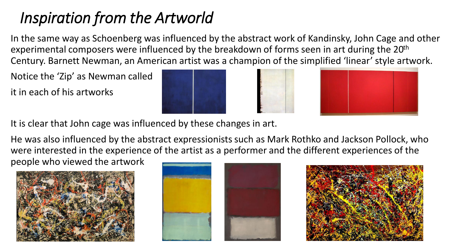## *Inspiration from the Artworld*

In the same way as Schoenberg was influenced by the abstract work of Kandinsky, John Cage and other experimental composers were influenced by the breakdown of forms seen in art during the 20<sup>th</sup> Century. Barnett Newman, an American artist was a champion of the simplified 'linear' style artwork.

Notice the 'Zip' as Newman called it in each of his artworks





It is clear that John cage was influenced by these changes in art.

He was also influenced by the abstract expressionists such as Mark Rothko and Jackson Pollock, who were interested in the experience of the artist as a performer and the different experiences of the people who viewed the artwork